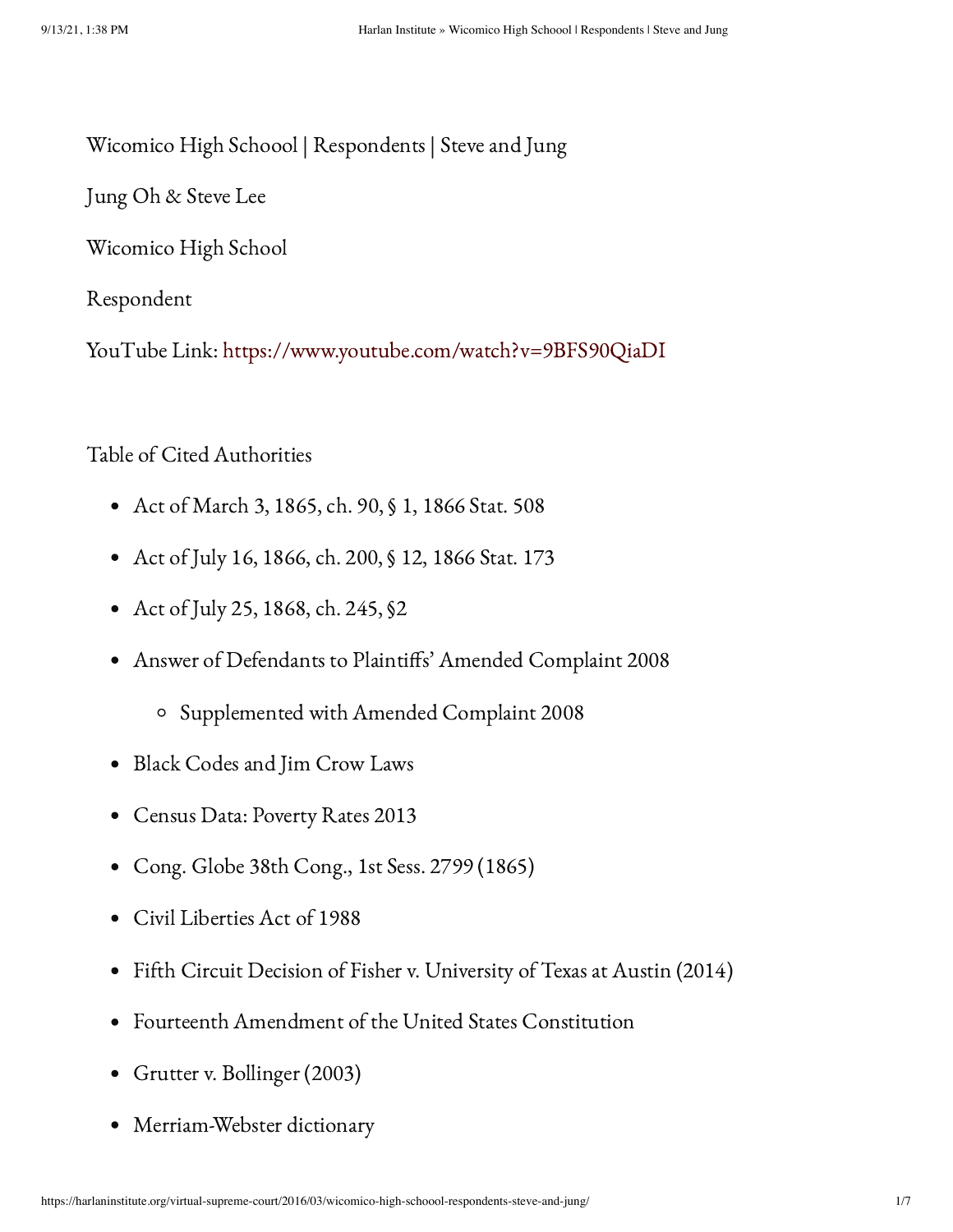Wicomico High Schoool | Respondents | Steve and Jung

Jung Oh & Steve Lee

Wicomico High School

Respondent

YouTube Link: <https://www.youtube.com/watch?v=9BFS90QiaDI>

Table of Cited Authorities

- Act of March 3, 1865, ch. 90, § 1, 1866 Stat. 508
- Act of July 16, 1866, ch. 200, § 12, 1866 Stat. 173
- Act of July 25, 1868, ch. 245, §2
- Answer of Defendants to Plaintiffs' Amended Complaint 2008
	- Supplemented with Amended Complaint 2008
- Black Codes and Jim Crow Laws
- Census Data: Poverty Rates 2013
- Cong. Globe 38th Cong., 1st Sess. 2799 (1865)
- Civil Liberties Act of 1988
- Fifth Circuit Decision of Fisher v. University of Texas at Austin (2014)  $\bullet$
- Fourteenth Amendment of the United States Constitution
- Grutter v. Bollinger (2003)
- Merriam-Webster dictionary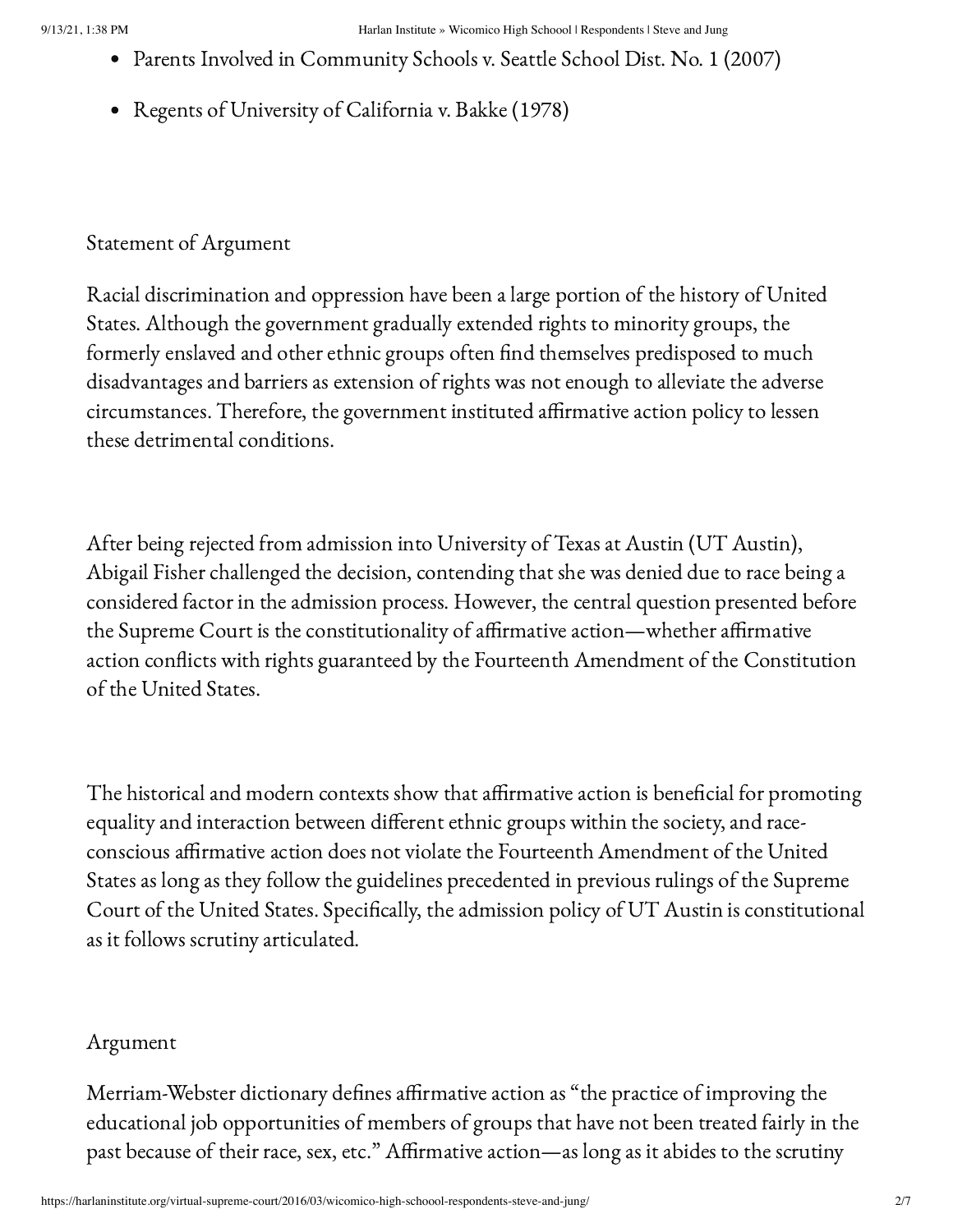- Parents Involved in Community Schools v. Seattle School Dist. No. 1 (2007)
- Regents of University of California v. Bakke (1978)

## Statement of Argument

Racial discrimination and oppression have been a large portion of the history of United States. Although the government gradually extended rights to minority groups, the formerly enslaved and other ethnic groups often find themselves predisposed to much disadvantages and barriers as extension of rights was not enough to alleviate the adverse circumstances. Therefore, the government instituted affirmative action policy to lessen these detrimental conditions.

After being rejected from admission into University of Texas at Austin (UT Austin), Abigail Fisher challenged the decision, contending that she was denied due to race being a considered factor in the admission process. However, the central question presented before the Supreme Court is the constitutionality of affirmative action—whether affirmative action conflicts with rights guaranteed by the Fourteenth Amendment of the Constitution of the United States.

The historical and modern contexts show that affirmative action is beneficial for promoting equality and interaction between different ethnic groups within the society, and raceconscious affirmative action does not violate the Fourteenth Amendment of the United States as long as they follow the guidelines precedented in previous rulings of the Supreme Court of the United States. Specifically, the admission policy of UT Austin is constitutional as it follows scrutiny articulated.

# Argument

Merriam-Webster dictionary defines affirmative action as "the practice of improving the educational job opportunities of members of groups that have not been treated fairly in the past because of their race, sex, etc." Affirmative action—as long as it abides to the scrutiny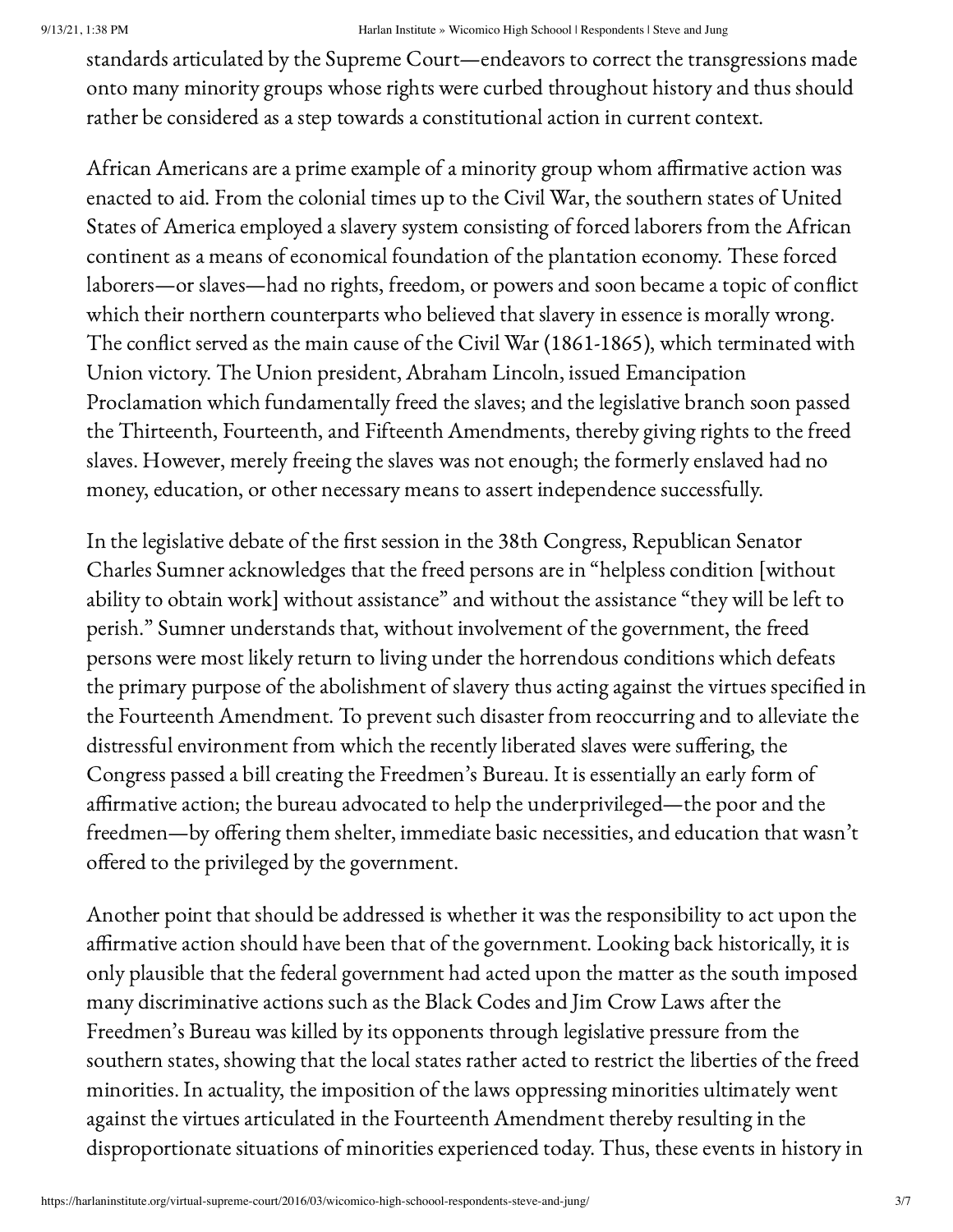standards articulated by the Supreme Court—endeavors to correct the transgressions made onto many minority groups whose rights were curbed throughout history and thus should rather be considered as a step towards a constitutional action in current context.

African Americans are a prime example of a minority group whom affirmative action was enacted to aid. From the colonial times up to the Civil War, the southern states of United States of America employed a slavery system consisting of forced laborers from the African continent as a means of economical foundation of the plantation economy. These forced laborers—or slaves—had no rights, freedom, or powers and soon became a topic of conflict which their northern counterparts who believed that slavery in essence is morally wrong. The conflict served as the main cause of the Civil War (1861-1865), which terminated with Union victory. The Union president, Abraham Lincoln, issued Emancipation Proclamation which fundamentally freed the slaves; and the legislative branch soon passed the Thirteenth, Fourteenth, and Fifteenth Amendments, thereby giving rights to the freed slaves. However, merely freeing the slaves was not enough; the formerly enslaved had no money, education, or other necessary means to assert independence successfully.

In the legislative debate of the first session in the 38th Congress, Republican Senator Charles Sumner acknowledges that the freed persons are in "helpless condition [without ability to obtain work] without assistance" and without the assistance "they will be left to perish." Sumner understands that, without involvement of the government, the freed persons were most likely return to living under the horrendous conditions which defeats the primary purpose of the abolishment of slavery thus acting against the virtues specified in the Fourteenth Amendment. To prevent such disaster from reoccurring and to alleviate the distressful environment from which the recently liberated slaves were suffering, the Congress passed a bill creating the Freedmen's Bureau. It is essentially an early form of affirmative action; the bureau advocated to help the underprivileged—the poor and the freedmen—by offering them shelter, immediate basic necessities, and education that wasn't offered to the privileged by the government.

Another point that should be addressed is whether it was the responsibility to act upon the affirmative action should have been that of the government. Looking back historically, it is only plausible that the federal government had acted upon the matter as the south imposed many discriminative actions such as the Black Codes and Jim Crow Laws after the Freedmen's Bureau was killed by its opponents through legislative pressure from the southern states, showing that the local states rather acted to restrict the liberties of the freed minorities. In actuality, the imposition of the laws oppressing minorities ultimately went against the virtues articulated in the Fourteenth Amendment thereby resulting in the disproportionate situations of minorities experienced today. Thus, these events in history in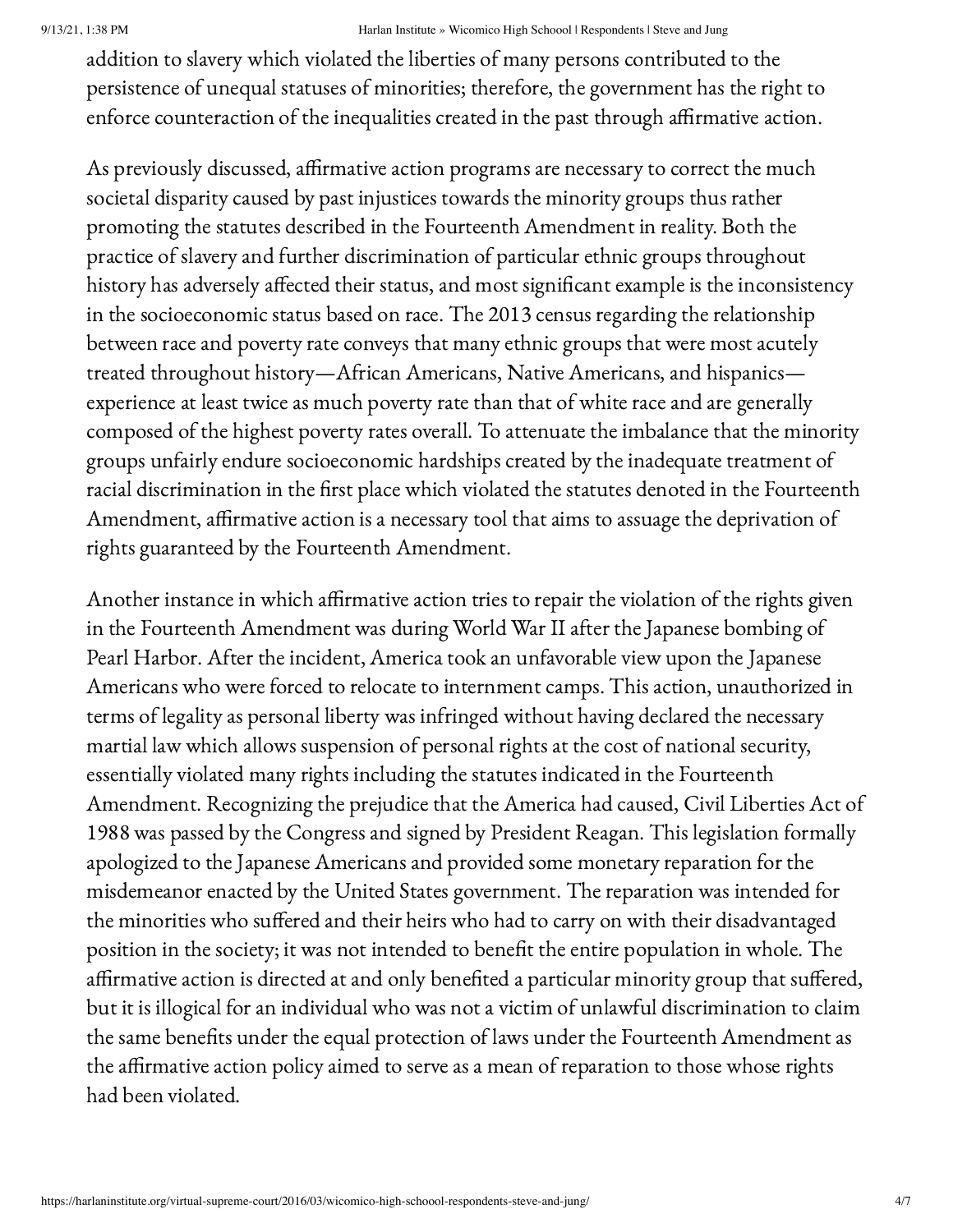#### 9/13/21, 1:38 PM Harlan Institute » Wicomico High Schoool | Respondents | Steve and Jung

addition to slavery which violated the liberties of many persons contributed to the persistence of unequal statuses of minorities; therefore, the government has the right to enforce counteraction of the inequalities created in the past through affirmative action.

As previously discussed, affirmative action programs are necessary to correct the much societal disparity caused by past injustices towards the minority groups thus rather promoting the statutes described in the Fourteenth Amendment in reality. Both the practice of slavery and further discrimination of particular ethnic groups throughout history has adversely affected their status, and most significant example is the inconsistency in the socioeconomic status based on race. The 2013 census regarding the relationship between race and poverty rate conveys that many ethnic groups that were most acutely treated throughout history—African Americans, Native Americans, and hispanics experience at least twice as much poverty rate than that of white race and are generally composed of the highest poverty rates overall. To attenuate the imbalance that the minority groups unfairly endure socioeconomic hardships created by the inadequate treatment of racial discrimination in the first place which violated the statutes denoted in the Fourteenth Amendment, affirmative action is a necessary tool that aims to assuage the deprivation of rights guaranteed by the Fourteenth Amendment.

Another instance in which affirmative action tries to repair the violation of the rights given in the Fourteenth Amendment was during World War II after the Japanese bombing of Pearl Harbor. After the incident, America took an unfavorable view upon the Japanese Americans who were forced to relocate to internment camps. This action, unauthorized in terms of legality as personal liberty was infringed without having declared the necessary martial law which allows suspension of personal rights at the cost of national security, essentially violated many rights including the statutes indicated in the Fourteenth Amendment. Recognizing the prejudice that the America had caused, Civil Liberties Act of 1988 was passed by the Congress and signed by President Reagan. This legislation formally apologized to the Japanese Americans and provided some monetary reparation for the misdemeanor enacted by the United States government. The reparation was intended for the minorities who suffered and their heirs who had to carry on with their disadvantaged position in the society; it was not intended to benefit the entire population in whole. The affirmative action is directed at and only benefited a particular minority group that suffered, but it is illogical for an individual who was not a victim of unlawful discrimination to claim the same benefits under the equal protection of laws under the Fourteenth Amendment as the affirmative action policy aimed to serve as a mean of reparation to those whose rights had been violated.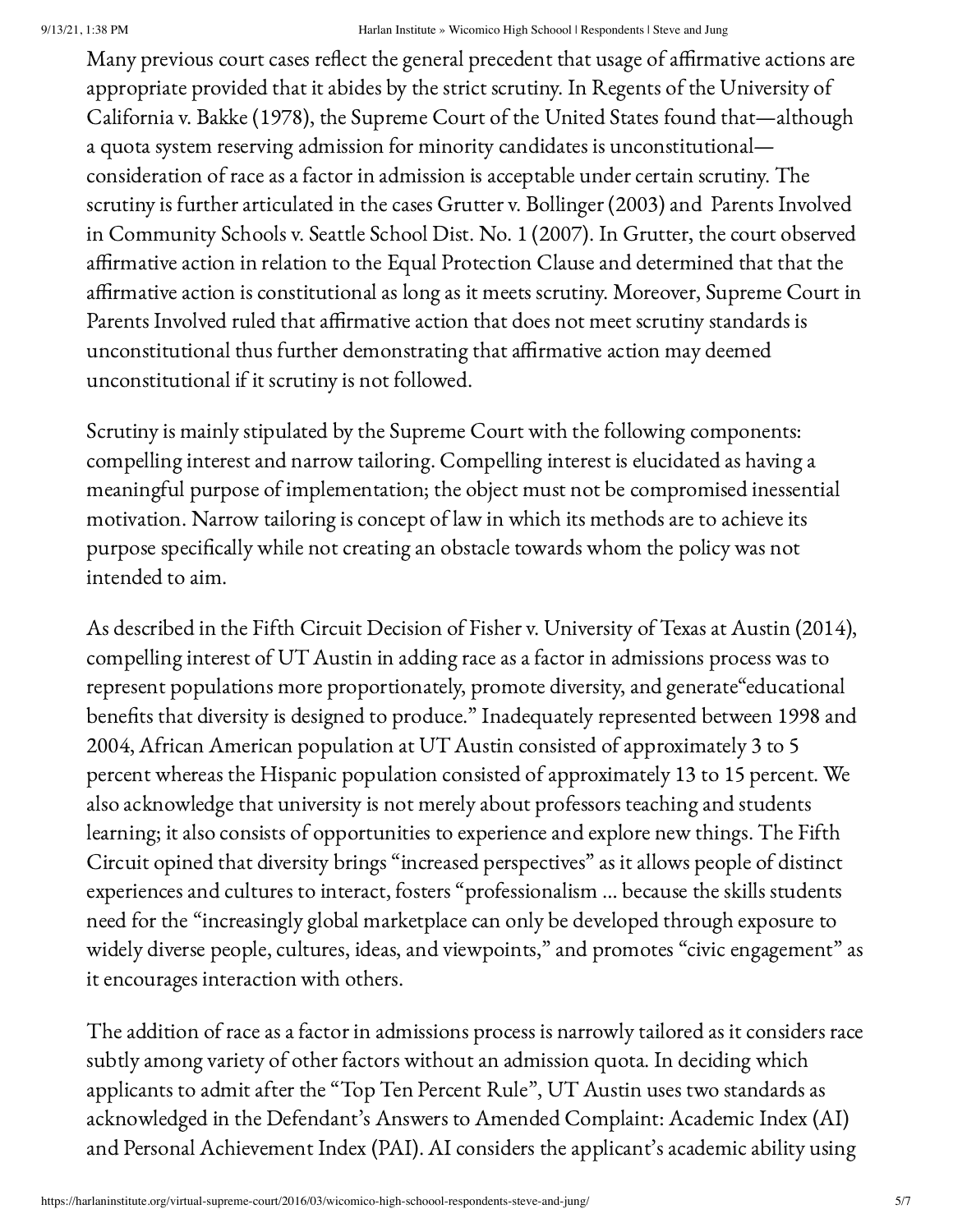#### 9/13/21, 1:38 PM Harlan Institute » Wicomico High Schoool | Respondents | Steve and Jung

Many previous court cases reflect the general precedent that usage of affirmative actions are appropriate provided that it abides by the strict scrutiny. In Regents of the University of California v. Bakke (1978), the Supreme Court of the United States found that—although a quota system reserving admission for minority candidates is unconstitutional consideration of race as a factor in admission is acceptable under certain scrutiny. The scrutiny is further articulated in the cases Grutter v. Bollinger (2003) and Parents Involved in Community Schools v. Seattle School Dist. No. 1 (2007). In Grutter, the court observed affirmative action in relation to the Equal Protection Clause and determined that that the affirmative action is constitutional as long as it meets scrutiny. Moreover, Supreme Court in Parents Involved ruled that affirmative action that does not meet scrutiny standards is unconstitutional thus further demonstrating that affirmative action may deemed unconstitutional if it scrutiny is not followed.

Scrutiny is mainly stipulated by the Supreme Court with the following components: compelling interest and narrow tailoring. Compelling interest is elucidated as having a meaningful purpose of implementation; the object must not be compromised inessential motivation. Narrow tailoring is concept of law in which its methods are to achieve its purpose specifically while not creating an obstacle towards whom the policy was not intended to aim.

As described in the Fifth Circuit Decision of Fisher v. University of Texas at Austin (2014), compelling interest of UT Austin in adding race as a factor in admissions process was to represent populations more proportionately, promote diversity, and generate"educational benefits that diversity is designed to produce." Inadequately represented between 1998 and 2004, African American population at UT Austin consisted of approximately 3 to 5 percent whereas the Hispanic population consisted of approximately 13 to 15 percent. We also acknowledge that university is not merely about professors teaching and students learning; it also consists of opportunities to experience and explore new things. The Fifth Circuit opined that diversity brings "increased perspectives" as it allows people of distinct experiences and cultures to interact, fosters "professionalism … because the skills students need for the "increasingly global marketplace can only be developed through exposure to widely diverse people, cultures, ideas, and viewpoints," and promotes "civic engagement" as it encourages interaction with others.

The addition of race as a factor in admissions process is narrowly tailored as it considers race subtly among variety of other factors without an admission quota. In deciding which applicants to admit after the "Top Ten Percent Rule", UT Austin uses two standards as acknowledged in the Defendant's Answers to Amended Complaint: Academic Index (AI) and Personal Achievement Index (PAI). AI considers the applicant's academic ability using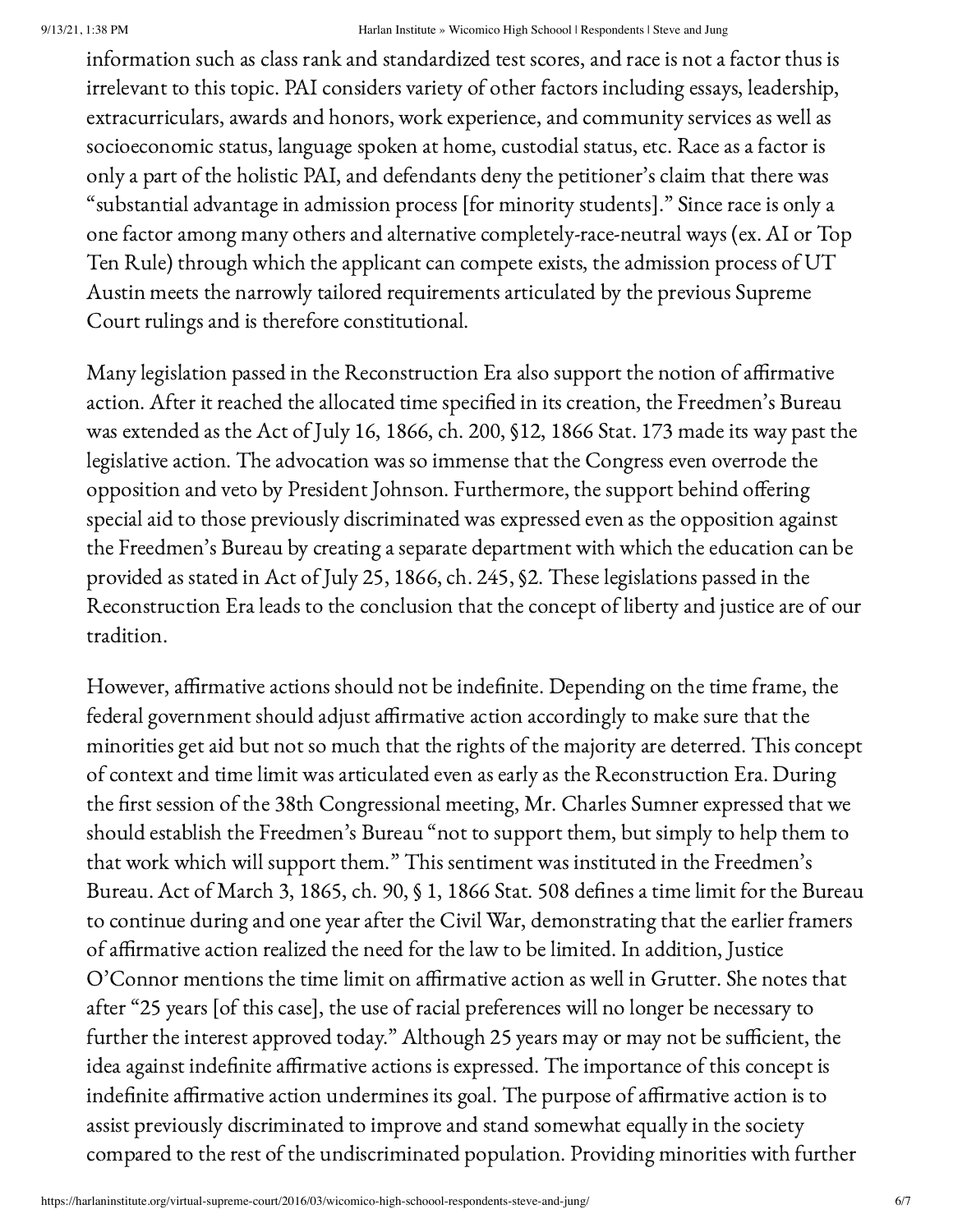#### 9/13/21, 1:38 PM Harlan Institute » Wicomico High Schoool | Respondents | Steve and Jung

information such as class rank and standardized test scores, and race is not a factor thus is irrelevant to this topic. PAI considers variety of other factors including essays, leadership, extracurriculars, awards and honors, work experience, and community services as well as socioeconomic status, language spoken at home, custodial status, etc. Race as a factor is only a part of the holistic PAI, and defendants deny the petitioner's claim that there was "substantial advantage in admission process [for minority students]." Since race is only a one factor among many others and alternative completely-race-neutral ways (ex. AI or Top Ten Rule) through which the applicant can compete exists, the admission process of UT Austin meets the narrowly tailored requirements articulated by the previous Supreme Court rulings and is therefore constitutional.

Many legislation passed in the Reconstruction Era also support the notion of affirmative action. After it reached the allocated time specified in its creation, the Freedmen's Bureau was extended as the Act of July 16, 1866, ch. 200, §12, 1866 Stat. 173 made its way past the legislative action. The advocation was so immense that the Congress even overrode the opposition and veto by President Johnson. Furthermore, the support behind offering special aid to those previously discriminated was expressed even as the opposition against the Freedmen's Bureau by creating a separate department with which the education can be provided as stated in Act of July 25, 1866, ch. 245, §2. These legislations passed in the Reconstruction Era leads to the conclusion that the concept of liberty and justice are of our tradition.

However, affirmative actions should not be indefinite. Depending on the time frame, the federal government should adjust affirmative action accordingly to make sure that the minorities get aid but not so much that the rights of the majority are deterred. This concept of context and time limit was articulated even as early as the Reconstruction Era. During the first session of the 38th Congressional meeting, Mr. Charles Sumner expressed that we should establish the Freedmen's Bureau "not to support them, but simply to help them to that work which will support them." This sentiment was instituted in the Freedmen's Bureau. Act of March 3, 1865, ch. 90, § 1, 1866 Stat. 508 defines a time limit for the Bureau to continue during and one year after the Civil War, demonstrating that the earlier framers of affirmative action realized the need for the law to be limited. In addition, Justice O'Connor mentions the time limit on affirmative action as well in Grutter. She notes that after "25 years [of this case], the use of racial preferences will no longer be necessary to further the interest approved today." Although 25 years may or may not be sufficient, the idea against indefinite affirmative actions is expressed. The importance of this concept is indefinite affirmative action undermines its goal. The purpose of affirmative action is to assist previously discriminated to improve and stand somewhat equally in the society compared to the rest of the undiscriminated population. Providing minorities with further